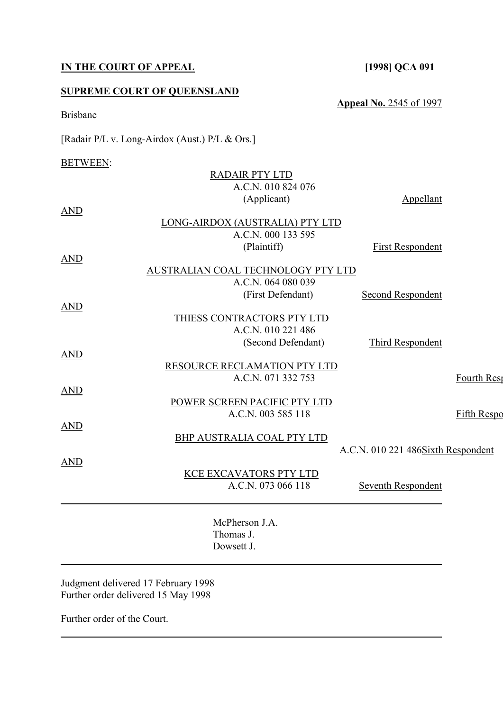# **IN THE COURT OF APPEAL [1998] QCA 091**

## **SUPREME COURT OF QUEENSLAND**

[Radair P/L v. Long-Airdox (Aust.) P/L & Ors.]

# BETWEEN:

Brisbane

|            | <b>RADAIR PTY LTD</b>              |                                    |                    |
|------------|------------------------------------|------------------------------------|--------------------|
|            | A.C.N. 010 824 076                 |                                    |                    |
|            | (Applicant)                        | <b>Appellant</b>                   |                    |
| <b>AND</b> |                                    |                                    |                    |
|            | LONG-AIRDOX (AUSTRALIA) PTY LTD    |                                    |                    |
|            | A.C.N. 000 133 595                 |                                    |                    |
|            | (Plaintiff)                        | <b>First Respondent</b>            |                    |
| <b>AND</b> |                                    |                                    |                    |
|            | AUSTRALIAN COAL TECHNOLOGY PTY LTD |                                    |                    |
|            | A.C.N. 064 080 039                 |                                    |                    |
|            | (First Defendant)                  | <b>Second Respondent</b>           |                    |
| <b>AND</b> |                                    |                                    |                    |
|            | THIESS CONTRACTORS PTY LTD         |                                    |                    |
|            | A.C.N. 010 221 486                 |                                    |                    |
|            | (Second Defendant)                 | Third Respondent                   |                    |
| <b>AND</b> | RESOURCE RECLAMATION PTY LTD       |                                    |                    |
|            | A.C.N. 071 332 753                 |                                    | Fourth Rest        |
| AND        |                                    |                                    |                    |
|            | POWER SCREEN PACIFIC PTY LTD       |                                    |                    |
|            | A.C.N. 003 585 118                 |                                    | <b>Fifth Respo</b> |
| <u>AND</u> |                                    |                                    |                    |
|            | BHP AUSTRALIA COAL PTY LTD         |                                    |                    |
|            |                                    | A.C.N. 010 221 486Sixth Respondent |                    |
| AND        |                                    |                                    |                    |
|            | KCE EXCAVATORS PTY LTD             |                                    |                    |
|            | A.C.N. 073 066 118                 | Seventh Respondent                 |                    |
|            |                                    |                                    |                    |
|            |                                    |                                    |                    |
|            | McPherson J.A.                     |                                    |                    |
|            | Thomas J.                          |                                    |                    |
|            | Dowsett J                          |                                    |                    |

Judgment delivered 17 February 1998 Further order delivered 15 May 1998

Further order of the Court.

**Appeal No.** 2545 of 1997

Dowsett J.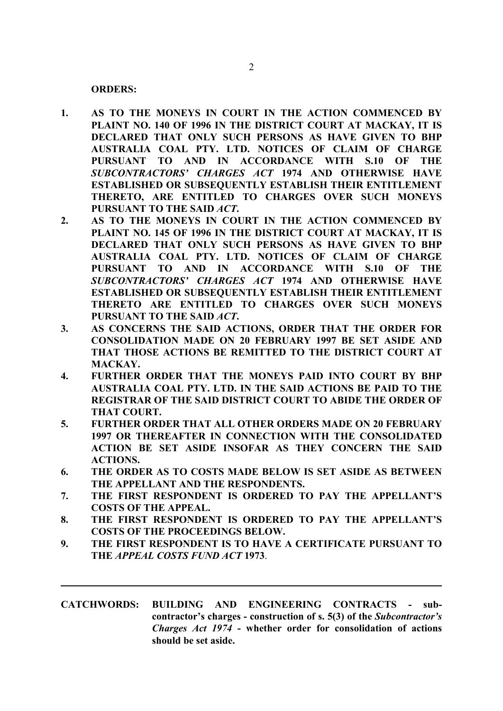**ORDERS:**

- **1. AS TO THE MONEYS IN COURT IN THE ACTION COMMENCED BY PLAINT NO. 140 OF 1996 IN THE DISTRICT COURT AT MACKAY, IT IS DECLARED THAT ONLY SUCH PERSONS AS HAVE GIVEN TO BHP AUSTRALIA COAL PTY. LTD. NOTICES OF CLAIM OF CHARGE PURSUANT TO AND IN ACCORDANCE WITH S.10 OF THE**  *SUBCONTRACTORS' CHARGES ACT* **1974 AND OTHERWISE HAVE ESTABLISHED OR SUBSEQUENTLY ESTABLISH THEIR ENTITLEMENT THERETO, ARE ENTITLED TO CHARGES OVER SUCH MONEYS PURSUANT TO THE SAID** *ACT***.**
- **2. AS TO THE MONEYS IN COURT IN THE ACTION COMMENCED BY PLAINT NO. 145 OF 1996 IN THE DISTRICT COURT AT MACKAY, IT IS DECLARED THAT ONLY SUCH PERSONS AS HAVE GIVEN TO BHP AUSTRALIA COAL PTY. LTD. NOTICES OF CLAIM OF CHARGE PURSUANT TO AND IN ACCORDANCE WITH S.10 OF THE**  *SUBCONTRACTORS' CHARGES ACT* **1974 AND OTHERWISE HAVE ESTABLISHED OR SUBSEQUENTLY ESTABLISH THEIR ENTITLEMENT THERETO ARE ENTITLED TO CHARGES OVER SUCH MONEYS PURSUANT TO THE SAID** *ACT***.**
- **3. AS CONCERNS THE SAID ACTIONS, ORDER THAT THE ORDER FOR CONSOLIDATION MADE ON 20 FEBRUARY 1997 BE SET ASIDE AND THAT THOSE ACTIONS BE REMITTED TO THE DISTRICT COURT AT MACKAY.**
- **4. FURTHER ORDER THAT THE MONEYS PAID INTO COURT BY BHP AUSTRALIA COAL PTY. LTD. IN THE SAID ACTIONS BE PAID TO THE REGISTRAR OF THE SAID DISTRICT COURT TO ABIDE THE ORDER OF THAT COURT.**
- **5. FURTHER ORDER THAT ALL OTHER ORDERS MADE ON 20 FEBRUARY 1997 OR THEREAFTER IN CONNECTION WITH THE CONSOLIDATED ACTION BE SET ASIDE INSOFAR AS THEY CONCERN THE SAID ACTIONS.**
- **6. THE ORDER AS TO COSTS MADE BELOW IS SET ASIDE AS BETWEEN THE APPELLANT AND THE RESPONDENTS.**
- **7. THE FIRST RESPONDENT IS ORDERED TO PAY THE APPELLANT'S COSTS OF THE APPEAL.**
- **8. THE FIRST RESPONDENT IS ORDERED TO PAY THE APPELLANT'S COSTS OF THE PROCEEDINGS BELOW.**
- **9. THE FIRST RESPONDENT IS TO HAVE A CERTIFICATE PURSUANT TO THE** *APPEAL COSTS FUND ACT* **1973**.
- **CATCHWORDS: BUILDING AND ENGINEERING CONTRACTS subcontractor's charges - construction of s. 5(3) of the** *Subcontractor's Charges Act 1974* **- whether order for consolidation of actions should be set aside.**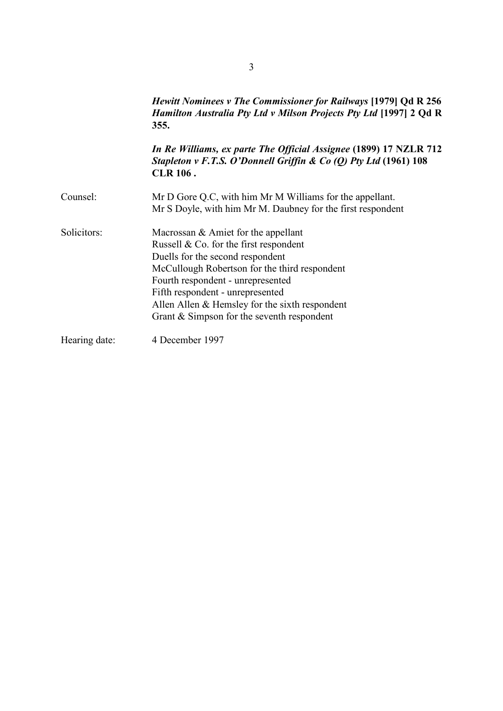|               | <i>Hewitt Nominees v The Commissioner for Railways</i> [1979] Qd R 256<br>Hamilton Australia Pty Ltd v Milson Projects Pty Ltd [1997] 2 Qd R<br>355.                                                                                                                                                                                               |
|---------------|----------------------------------------------------------------------------------------------------------------------------------------------------------------------------------------------------------------------------------------------------------------------------------------------------------------------------------------------------|
|               | In Re Williams, ex parte The Official Assignee (1899) 17 NZLR 712<br>Stapleton v F.T.S. O'Donnell Griffin & Co (Q) Pty Ltd (1961) 108<br><b>CLR 106.</b>                                                                                                                                                                                           |
| Counsel:      | Mr D Gore Q.C, with him Mr M Williams for the appellant.<br>Mr S Doyle, with him Mr M. Daubney for the first respondent                                                                                                                                                                                                                            |
| Solicitors:   | Macrossan $\&$ Amiet for the appellant<br>Russell $& Co.$ for the first respondent<br>Duells for the second respondent<br>McCullough Robertson for the third respondent<br>Fourth respondent - unrepresented<br>Fifth respondent - unrepresented<br>Allen Allen $&$ Hemsley for the sixth respondent<br>Grant & Simpson for the seventh respondent |
| Hearing date: | 4 December 1997                                                                                                                                                                                                                                                                                                                                    |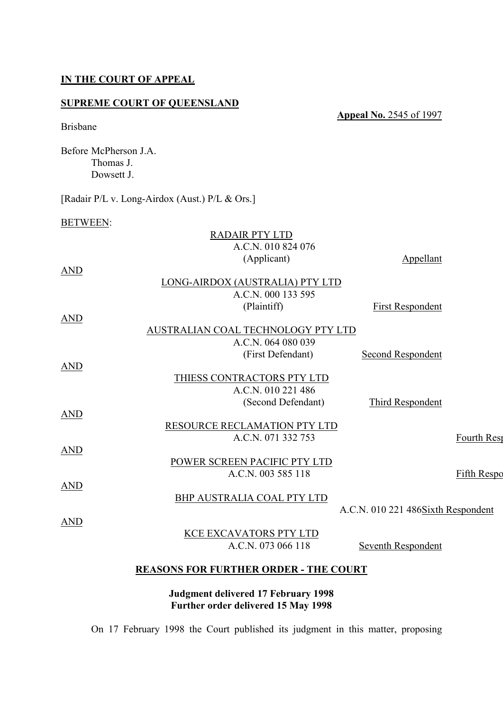#### **IN THE COURT OF APPEAL**

## **SUPREME COURT OF QUEENSLAND**

**Appeal No.** 2545 of 1997

## Brisbane

Before McPherson J.A. Thomas J. Dowsett J.

[Radair P/L v. Long-Airdox (Aust.) P/L & Ors.]

#### BETWEEN:

| <b>RADAIR PTY LTD</b>             |                                    |                                                                                                                                                       |
|-----------------------------------|------------------------------------|-------------------------------------------------------------------------------------------------------------------------------------------------------|
| A.C.N. 010 824 076                |                                    |                                                                                                                                                       |
| (Applicant)                       | Appellant                          |                                                                                                                                                       |
|                                   |                                    |                                                                                                                                                       |
|                                   |                                    |                                                                                                                                                       |
| A.C.N. 000 133 595                |                                    |                                                                                                                                                       |
| (Plaintiff)                       | <b>First Respondent</b>            |                                                                                                                                                       |
|                                   |                                    |                                                                                                                                                       |
|                                   |                                    |                                                                                                                                                       |
| A.C.N. 064 080 039                |                                    |                                                                                                                                                       |
| (First Defendant)                 | <b>Second Respondent</b>           |                                                                                                                                                       |
|                                   |                                    |                                                                                                                                                       |
| THIESS CONTRACTORS PTY LTD        |                                    |                                                                                                                                                       |
| A.C.N. 010 221 486                |                                    |                                                                                                                                                       |
| (Second Defendant)                | Third Respondent                   |                                                                                                                                                       |
|                                   |                                    |                                                                                                                                                       |
|                                   |                                    |                                                                                                                                                       |
| A.C.N. 071 332 753                |                                    | Fourth Rest                                                                                                                                           |
|                                   |                                    |                                                                                                                                                       |
| POWER SCREEN PACIFIC PTY LTD      |                                    |                                                                                                                                                       |
| A.C.N. 003 585 118                |                                    | <b>Fifth Respo</b>                                                                                                                                    |
|                                   |                                    |                                                                                                                                                       |
| <b>BHP AUSTRALIA COAL PTY LTD</b> |                                    |                                                                                                                                                       |
|                                   | A.C.N. 010 221 486Sixth Respondent |                                                                                                                                                       |
|                                   |                                    |                                                                                                                                                       |
| <b>KCE EXCAVATORS PTY LTD</b>     |                                    |                                                                                                                                                       |
| A.C.N. 073 066 118                | Seventh Respondent                 |                                                                                                                                                       |
|                                   |                                    |                                                                                                                                                       |
|                                   |                                    |                                                                                                                                                       |
|                                   |                                    | LONG-AIRDOX (AUSTRALIA) PTY LTD<br>AUSTRALIAN COAL TECHNOLOGY PTY LTD<br>RESOURCE RECLAMATION PTY LTD<br><b>REASONS FOR FURTHER ORDER - THE COURT</b> |

**Judgment delivered 17 February 1998 Further order delivered 15 May 1998**

On 17 February 1998 the Court published its judgment in this matter, proposing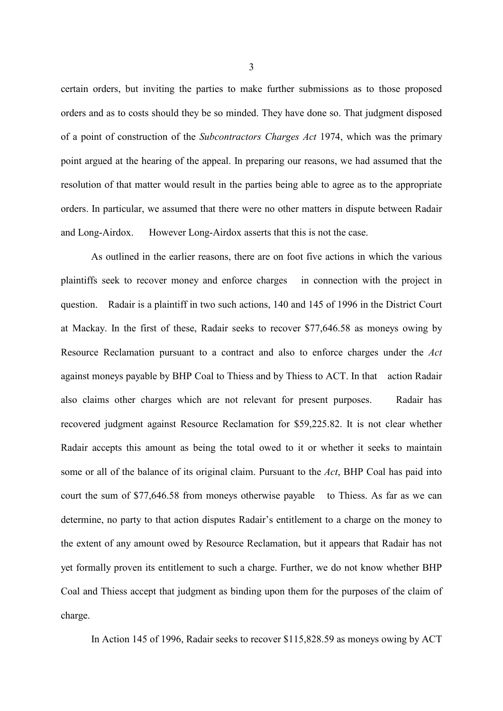certain orders, but inviting the parties to make further submissions as to those proposed orders and as to costs should they be so minded. They have done so. That judgment disposed of a point of construction of the *Subcontractors Charges Act* 1974, which was the primary point argued at the hearing of the appeal. In preparing our reasons, we had assumed that the resolution of that matter would result in the parties being able to agree as to the appropriate orders. In particular, we assumed that there were no other matters in dispute between Radair and Long-Airdox. However Long-Airdox asserts that this is not the case.

As outlined in the earlier reasons, there are on foot five actions in which the various plaintiffs seek to recover money and enforce charges in connection with the project in question. Radair is a plaintiff in two such actions, 140 and 145 of 1996 in the District Court at Mackay. In the first of these, Radair seeks to recover \$77,646.58 as moneys owing by Resource Reclamation pursuant to a contract and also to enforce charges under the *Act*  against moneys payable by BHP Coal to Thiess and by Thiess to ACT. In that action Radair also claims other charges which are not relevant for present purposes. Radair has recovered judgment against Resource Reclamation for \$59,225.82. It is not clear whether Radair accepts this amount as being the total owed to it or whether it seeks to maintain some or all of the balance of its original claim. Pursuant to the *Act*, BHP Coal has paid into court the sum of \$77,646.58 from moneys otherwise payable to Thiess. As far as we can determine, no party to that action disputes Radair's entitlement to a charge on the money to the extent of any amount owed by Resource Reclamation, but it appears that Radair has not yet formally proven its entitlement to such a charge. Further, we do not know whether BHP Coal and Thiess accept that judgment as binding upon them for the purposes of the claim of charge.

In Action 145 of 1996, Radair seeks to recover \$115,828.59 as moneys owing by ACT

3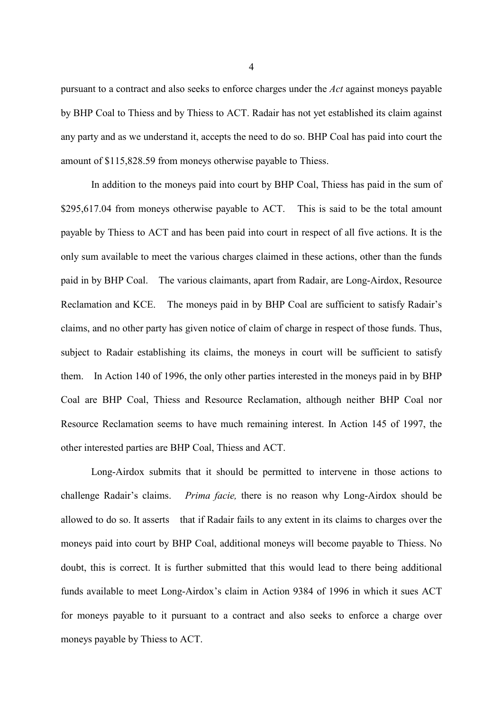pursuant to a contract and also seeks to enforce charges under the *Act* against moneys payable by BHP Coal to Thiess and by Thiess to ACT. Radair has not yet established its claim against any party and as we understand it, accepts the need to do so. BHP Coal has paid into court the amount of \$115,828.59 from moneys otherwise payable to Thiess.

In addition to the moneys paid into court by BHP Coal, Thiess has paid in the sum of \$295,617.04 from moneys otherwise payable to ACT. This is said to be the total amount payable by Thiess to ACT and has been paid into court in respect of all five actions. It is the only sum available to meet the various charges claimed in these actions, other than the funds paid in by BHP Coal. The various claimants, apart from Radair, are Long-Airdox, Resource Reclamation and KCE. The moneys paid in by BHP Coal are sufficient to satisfy Radair's claims, and no other party has given notice of claim of charge in respect of those funds. Thus, subject to Radair establishing its claims, the moneys in court will be sufficient to satisfy them. In Action 140 of 1996, the only other parties interested in the moneys paid in by BHP Coal are BHP Coal, Thiess and Resource Reclamation, although neither BHP Coal nor Resource Reclamation seems to have much remaining interest. In Action 145 of 1997, the other interested parties are BHP Coal, Thiess and ACT.

Long-Airdox submits that it should be permitted to intervene in those actions to challenge Radair's claims. *Prima facie,* there is no reason why Long-Airdox should be allowed to do so. It asserts that if Radair fails to any extent in its claims to charges over the moneys paid into court by BHP Coal, additional moneys will become payable to Thiess. No doubt, this is correct. It is further submitted that this would lead to there being additional funds available to meet Long-Airdox's claim in Action 9384 of 1996 in which it sues ACT for moneys payable to it pursuant to a contract and also seeks to enforce a charge over moneys payable by Thiess to ACT.

4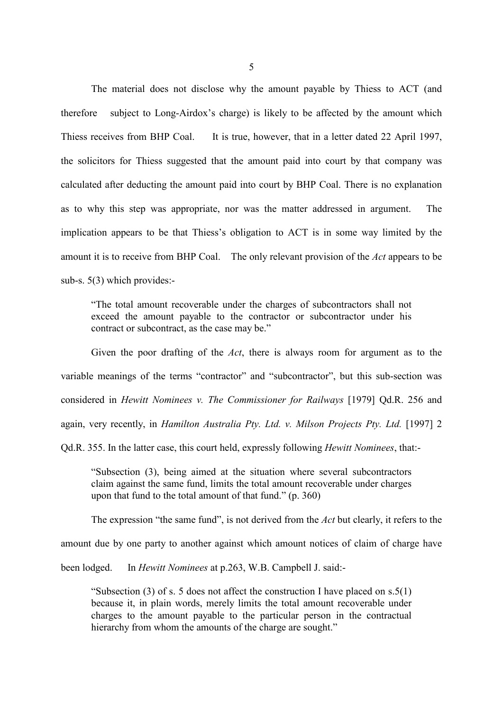The material does not disclose why the amount payable by Thiess to ACT (and therefore subject to Long-Airdox's charge) is likely to be affected by the amount which Thiess receives from BHP Coal. It is true, however, that in a letter dated 22 April 1997, the solicitors for Thiess suggested that the amount paid into court by that company was calculated after deducting the amount paid into court by BHP Coal. There is no explanation as to why this step was appropriate, nor was the matter addressed in argument. The implication appears to be that Thiess's obligation to ACT is in some way limited by the amount it is to receive from BHP Coal. The only relevant provision of the *Act* appears to be sub-s. 5(3) which provides:-

"The total amount recoverable under the charges of subcontractors shall not exceed the amount payable to the contractor or subcontractor under his contract or subcontract, as the case may be."

Given the poor drafting of the *Act*, there is always room for argument as to the variable meanings of the terms "contractor" and "subcontractor", but this sub-section was considered in *Hewitt Nominees v. The Commissioner for Railways* [1979] Qd.R. 256 and again, very recently, in *Hamilton Australia Pty. Ltd. v. Milson Projects Pty. Ltd.* [1997] 2

Qd.R. 355. In the latter case, this court held, expressly following *Hewitt Nominees*, that:-

"Subsection (3), being aimed at the situation where several subcontractors claim against the same fund, limits the total amount recoverable under charges upon that fund to the total amount of that fund." (p. 360)

The expression "the same fund", is not derived from the *Act* but clearly, it refers to the

amount due by one party to another against which amount notices of claim of charge have

been lodged. In *Hewitt Nominees* at p.263, W.B. Campbell J. said:-

"Subsection (3) of s. 5 does not affect the construction I have placed on  $s.5(1)$ because it, in plain words, merely limits the total amount recoverable under charges to the amount payable to the particular person in the contractual hierarchy from whom the amounts of the charge are sought."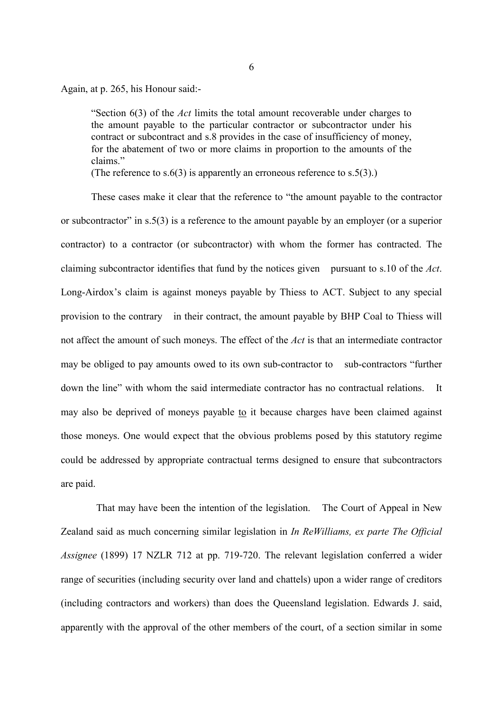Again, at p. 265, his Honour said:-

"Section 6(3) of the *Act* limits the total amount recoverable under charges to the amount payable to the particular contractor or subcontractor under his contract or subcontract and s.8 provides in the case of insufficiency of money, for the abatement of two or more claims in proportion to the amounts of the claims."

(The reference to  $s.6(3)$  is apparently an erroneous reference to  $s.5(3)$ .)

These cases make it clear that the reference to "the amount payable to the contractor or subcontractor" in s.5(3) is a reference to the amount payable by an employer (or a superior contractor) to a contractor (or subcontractor) with whom the former has contracted. The claiming subcontractor identifies that fund by the notices given pursuant to s.10 of the *Act*. Long-Airdox's claim is against moneys payable by Thiess to ACT. Subject to any special provision to the contrary in their contract, the amount payable by BHP Coal to Thiess will not affect the amount of such moneys. The effect of the *Act* is that an intermediate contractor may be obliged to pay amounts owed to its own sub-contractor to sub-contractors "further down the line" with whom the said intermediate contractor has no contractual relations. It may also be deprived of moneys payable to it because charges have been claimed against those moneys. One would expect that the obvious problems posed by this statutory regime could be addressed by appropriate contractual terms designed to ensure that subcontractors are paid.

 That may have been the intention of the legislation. The Court of Appeal in New Zealand said as much concerning similar legislation in *In ReWilliams, ex parte The Official Assignee* (1899) 17 NZLR 712 at pp. 719-720. The relevant legislation conferred a wider range of securities (including security over land and chattels) upon a wider range of creditors (including contractors and workers) than does the Queensland legislation. Edwards J. said, apparently with the approval of the other members of the court, of a section similar in some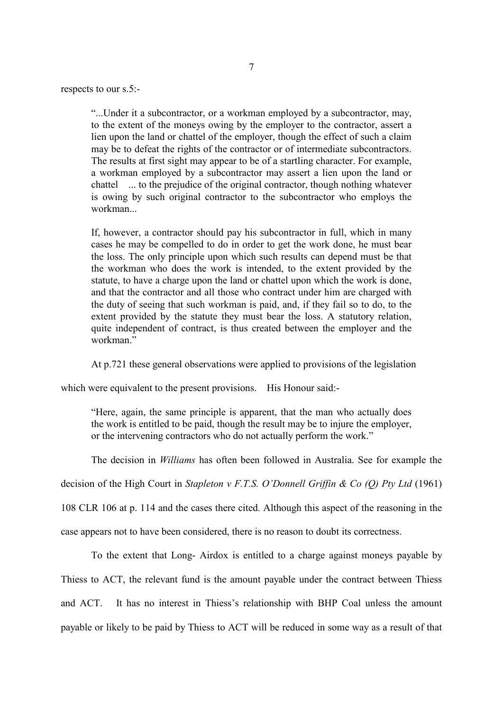respects to our s.5:-

"...Under it a subcontractor, or a workman employed by a subcontractor, may, to the extent of the moneys owing by the employer to the contractor, assert a lien upon the land or chattel of the employer, though the effect of such a claim may be to defeat the rights of the contractor or of intermediate subcontractors. The results at first sight may appear to be of a startling character. For example, a workman employed by a subcontractor may assert a lien upon the land or chattel ... to the prejudice of the original contractor, though nothing whatever is owing by such original contractor to the subcontractor who employs the workman...

If, however, a contractor should pay his subcontractor in full, which in many cases he may be compelled to do in order to get the work done, he must bear the loss. The only principle upon which such results can depend must be that the workman who does the work is intended, to the extent provided by the statute, to have a charge upon the land or chattel upon which the work is done, and that the contractor and all those who contract under him are charged with the duty of seeing that such workman is paid, and, if they fail so to do, to the extent provided by the statute they must bear the loss. A statutory relation, quite independent of contract, is thus created between the employer and the workman"

At p.721 these general observations were applied to provisions of the legislation

which were equivalent to the present provisions. His Honour said:-

"Here, again, the same principle is apparent, that the man who actually does the work is entitled to be paid, though the result may be to injure the employer, or the intervening contractors who do not actually perform the work."

The decision in *Williams* has often been followed in Australia. See for example the

decision of the High Court in *Stapleton v F.T.S. O'Donnell Griffin & Co (Q) Pty Ltd* (1961)

108 CLR 106 at p. 114 and the cases there cited. Although this aspect of the reasoning in the

case appears not to have been considered, there is no reason to doubt its correctness.

To the extent that Long- Airdox is entitled to a charge against moneys payable by Thiess to ACT, the relevant fund is the amount payable under the contract between Thiess and ACT. It has no interest in Thiess's relationship with BHP Coal unless the amount payable or likely to be paid by Thiess to ACT will be reduced in some way as a result of that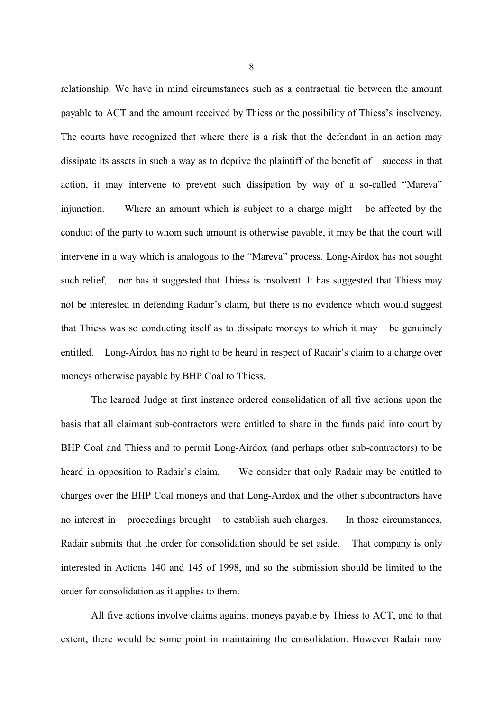relationship. We have in mind circumstances such as a contractual tie between the amount payable to ACT and the amount received by Thiess or the possibility of Thiess's insolvency. The courts have recognized that where there is a risk that the defendant in an action may dissipate its assets in such a way as to deprive the plaintiff of the benefit of success in that action, it may intervene to prevent such dissipation by way of a so-called "Mareva" injunction. Where an amount which is subject to a charge might be affected by the conduct of the party to whom such amount is otherwise payable, it may be that the court will intervene in a way which is analogous to the "Mareva" process. Long-Airdox has not sought such relief, nor has it suggested that Thiess is insolvent. It has suggested that Thiess may not be interested in defending Radair's claim, but there is no evidence which would suggest that Thiess was so conducting itself as to dissipate moneys to which it may be genuinely entitled. Long-Airdox has no right to be heard in respect of Radair's claim to a charge over moneys otherwise payable by BHP Coal to Thiess.

The learned Judge at first instance ordered consolidation of all five actions upon the basis that all claimant sub-contractors were entitled to share in the funds paid into court by BHP Coal and Thiess and to permit Long-Airdox (and perhaps other sub-contractors) to be heard in opposition to Radair's claim. We consider that only Radair may be entitled to charges over the BHP Coal moneys and that Long-Airdox and the other subcontractors have no interest in proceedings brought to establish such charges. In those circumstances, Radair submits that the order for consolidation should be set aside. That company is only interested in Actions 140 and 145 of 1998, and so the submission should be limited to the order for consolidation as it applies to them.

All five actions involve claims against moneys payable by Thiess to ACT, and to that extent, there would be some point in maintaining the consolidation. However Radair now

8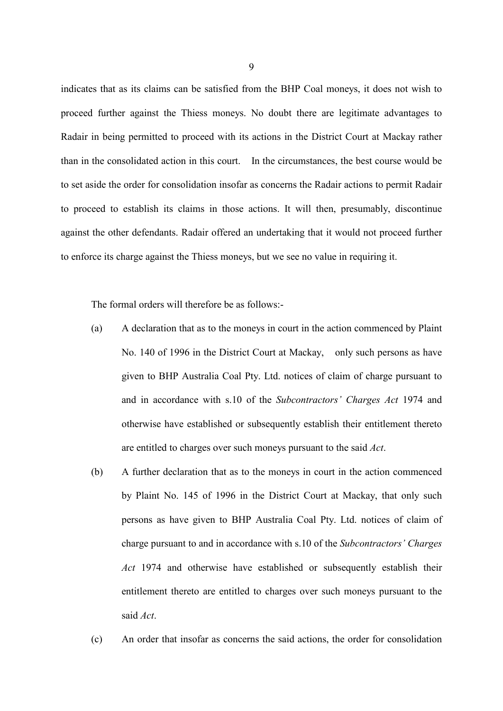indicates that as its claims can be satisfied from the BHP Coal moneys, it does not wish to proceed further against the Thiess moneys. No doubt there are legitimate advantages to Radair in being permitted to proceed with its actions in the District Court at Mackay rather than in the consolidated action in this court. In the circumstances, the best course would be to set aside the order for consolidation insofar as concerns the Radair actions to permit Radair to proceed to establish its claims in those actions. It will then, presumably, discontinue against the other defendants. Radair offered an undertaking that it would not proceed further to enforce its charge against the Thiess moneys, but we see no value in requiring it.

The formal orders will therefore be as follows:-

- (a) A declaration that as to the moneys in court in the action commenced by Plaint No. 140 of 1996 in the District Court at Mackay, only such persons as have given to BHP Australia Coal Pty. Ltd. notices of claim of charge pursuant to and in accordance with s.10 of the *Subcontractors' Charges Act* 1974 and otherwise have established or subsequently establish their entitlement thereto are entitled to charges over such moneys pursuant to the said *Act*.
- (b) A further declaration that as to the moneys in court in the action commenced by Plaint No. 145 of 1996 in the District Court at Mackay, that only such persons as have given to BHP Australia Coal Pty. Ltd. notices of claim of charge pursuant to and in accordance with s.10 of the *Subcontractors' Charges Act* 1974 and otherwise have established or subsequently establish their entitlement thereto are entitled to charges over such moneys pursuant to the said *Act*.
- (c) An order that insofar as concerns the said actions, the order for consolidation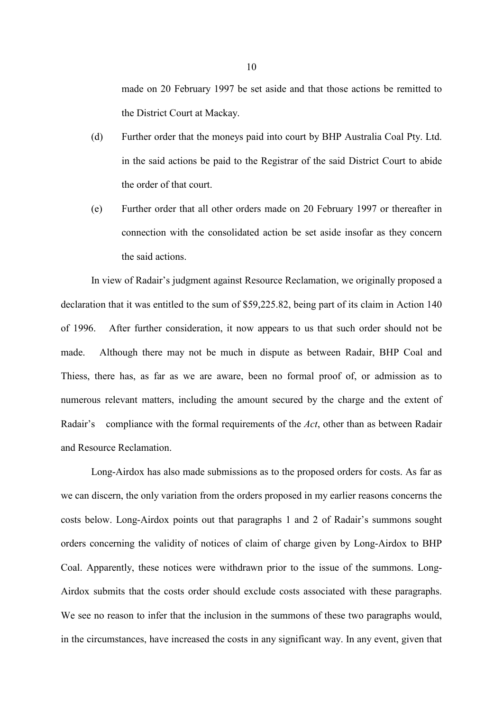made on 20 February 1997 be set aside and that those actions be remitted to the District Court at Mackay.

- (d) Further order that the moneys paid into court by BHP Australia Coal Pty. Ltd. in the said actions be paid to the Registrar of the said District Court to abide the order of that court.
- (e) Further order that all other orders made on 20 February 1997 or thereafter in connection with the consolidated action be set aside insofar as they concern the said actions.

In view of Radair's judgment against Resource Reclamation, we originally proposed a declaration that it was entitled to the sum of \$59,225.82, being part of its claim in Action 140 of 1996. After further consideration, it now appears to us that such order should not be made. Although there may not be much in dispute as between Radair, BHP Coal and Thiess, there has, as far as we are aware, been no formal proof of, or admission as to numerous relevant matters, including the amount secured by the charge and the extent of Radair's compliance with the formal requirements of the *Act*, other than as between Radair and Resource Reclamation.

Long-Airdox has also made submissions as to the proposed orders for costs. As far as we can discern, the only variation from the orders proposed in my earlier reasons concerns the costs below. Long-Airdox points out that paragraphs 1 and 2 of Radair's summons sought orders concerning the validity of notices of claim of charge given by Long-Airdox to BHP Coal. Apparently, these notices were withdrawn prior to the issue of the summons. Long-Airdox submits that the costs order should exclude costs associated with these paragraphs. We see no reason to infer that the inclusion in the summons of these two paragraphs would, in the circumstances, have increased the costs in any significant way. In any event, given that